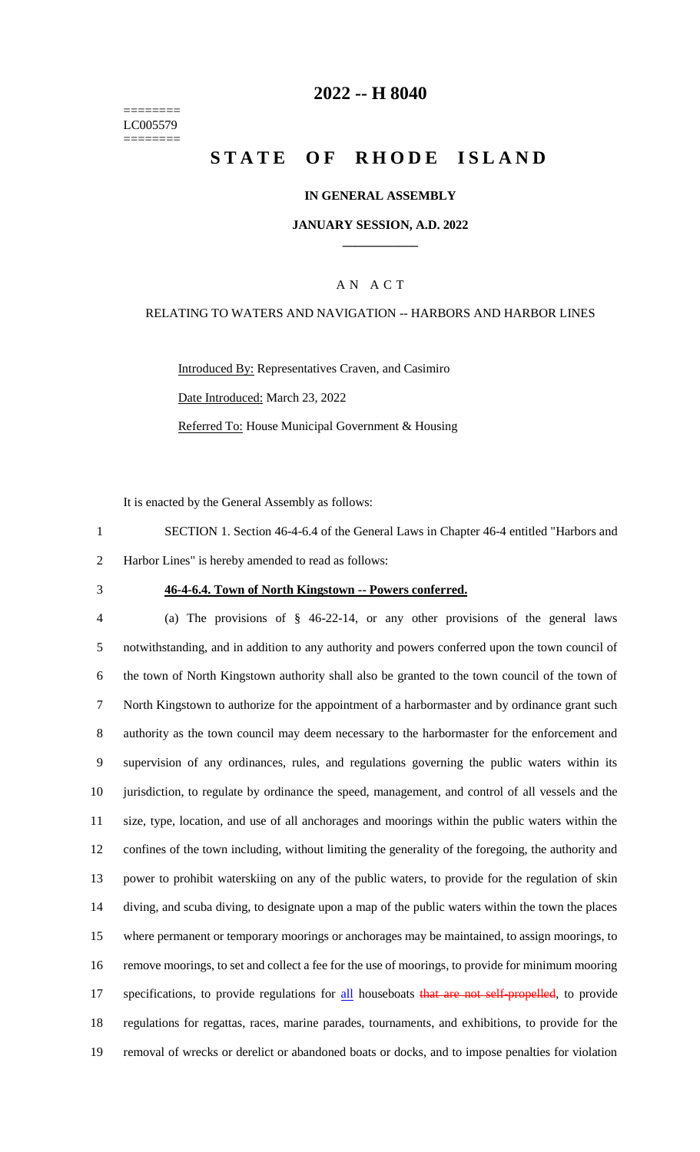======== LC005579 ========

## **2022 -- H 8040**

# **STATE OF RHODE ISLAND**

#### **IN GENERAL ASSEMBLY**

#### **JANUARY SESSION, A.D. 2022 \_\_\_\_\_\_\_\_\_\_\_\_**

#### A N A C T

## RELATING TO WATERS AND NAVIGATION -- HARBORS AND HARBOR LINES

Introduced By: Representatives Craven, and Casimiro Date Introduced: March 23, 2022 Referred To: House Municipal Government & Housing

It is enacted by the General Assembly as follows:

- 1 SECTION 1. Section 46-4-6.4 of the General Laws in Chapter 46-4 entitled "Harbors and 2 Harbor Lines" is hereby amended to read as follows:
- 

#### 3 **46-4-6.4. Town of North Kingstown -- Powers conferred.**

 (a) The provisions of § 46-22-14, or any other provisions of the general laws notwithstanding, and in addition to any authority and powers conferred upon the town council of the town of North Kingstown authority shall also be granted to the town council of the town of North Kingstown to authorize for the appointment of a harbormaster and by ordinance grant such authority as the town council may deem necessary to the harbormaster for the enforcement and supervision of any ordinances, rules, and regulations governing the public waters within its jurisdiction, to regulate by ordinance the speed, management, and control of all vessels and the size, type, location, and use of all anchorages and moorings within the public waters within the confines of the town including, without limiting the generality of the foregoing, the authority and power to prohibit waterskiing on any of the public waters, to provide for the regulation of skin diving, and scuba diving, to designate upon a map of the public waters within the town the places where permanent or temporary moorings or anchorages may be maintained, to assign moorings, to remove moorings, to set and collect a fee for the use of moorings, to provide for minimum mooring 17 specifications, to provide regulations for all houseboats that are not self-propelled, to provide regulations for regattas, races, marine parades, tournaments, and exhibitions, to provide for the removal of wrecks or derelict or abandoned boats or docks, and to impose penalties for violation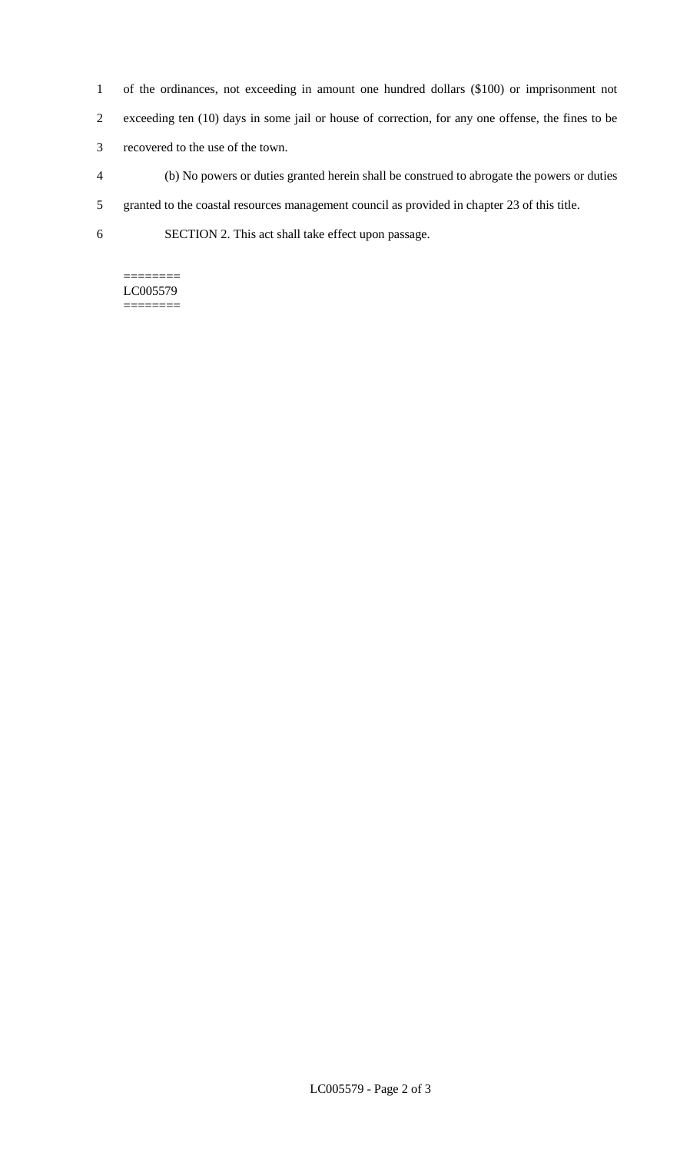- 1 of the ordinances, not exceeding in amount one hundred dollars (\$100) or imprisonment not
- 2 exceeding ten (10) days in some jail or house of correction, for any one offense, the fines to be
- 3 recovered to the use of the town.
- 4 (b) No powers or duties granted herein shall be construed to abrogate the powers or duties
- 5 granted to the coastal resources management council as provided in chapter 23 of this title.
- 6 SECTION 2. This act shall take effect upon passage.

## ======== LC005579

========